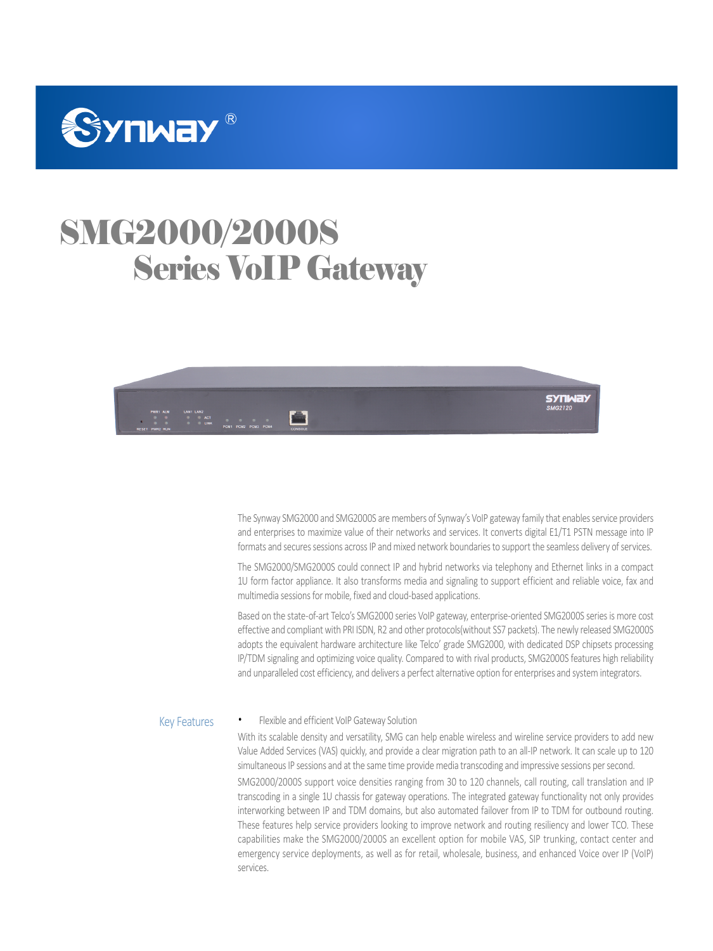

# SMG2000/2000S Series VoIP Gateway



**SYNWAY** 

The Synway SMG2000 and SMG2000S are members of Synway's VoIP gateway family that enables service providers and enterprises to maximize value of their networks and services. It converts digital E1/T1 PSTN message into IP formats and secures sessions across IP and mixed network boundaries to support the seamless delivery of services.

The SMG2000/SMG2000S could connect IP and hybrid networks via telephony and Ethernet links in a compact 1U form factor appliance. It also transforms media and signaling to support efficient and reliable voice, fax and multimedia sessions for mobile, fixed and cloud-based applications.

Based on the state-of-art Telco's SMG2000 series VoIP gateway, enterprise-oriented SMG2000S series is more cost effective and compliant with PRI ISDN, R2 and other protocols(without SS7 packets). The newly released SMG2000S adopts the equivalent hardware architecture like Telco' grade SMG2000, with dedicated DSP chipsets processing IP/TDM signaling and optimizing voice quality. Compared to with rival products, SMG2000S features high reliability and unparalleled cost efficiency, and delivers a perfect alternative option for enterprises and system integrators.

#### Flexible and efficient VoIP Gateway Solution Key Features

With its scalable density and versatility, SMG can help enable wireless and wireline service providers to add new Value Added Services (VAS) quickly, and provide a clear migration path to an all-IP network. It can scale up to 120 simultaneous IP sessions and at the same time provide media transcoding and impressive sessions per second.

SMG2000/2000S support voice densities ranging from 30 to 120 channels, call routing, call translation and IP transcoding in a single 1U chassis for gateway operations. The integrated gateway functionality not only provides interworking between IP and TDM domains, but also automated failover from IP to TDM for outbound routing. These features help service providers looking to improve network and routing resiliency and lower TCO. These capabilities make the SMG2000/2000S an excellent option for mobile VAS, SIP trunking, contact center and emergency service deployments, as well as for retail, wholesale, business, and enhanced Voice over IP (VoIP) services.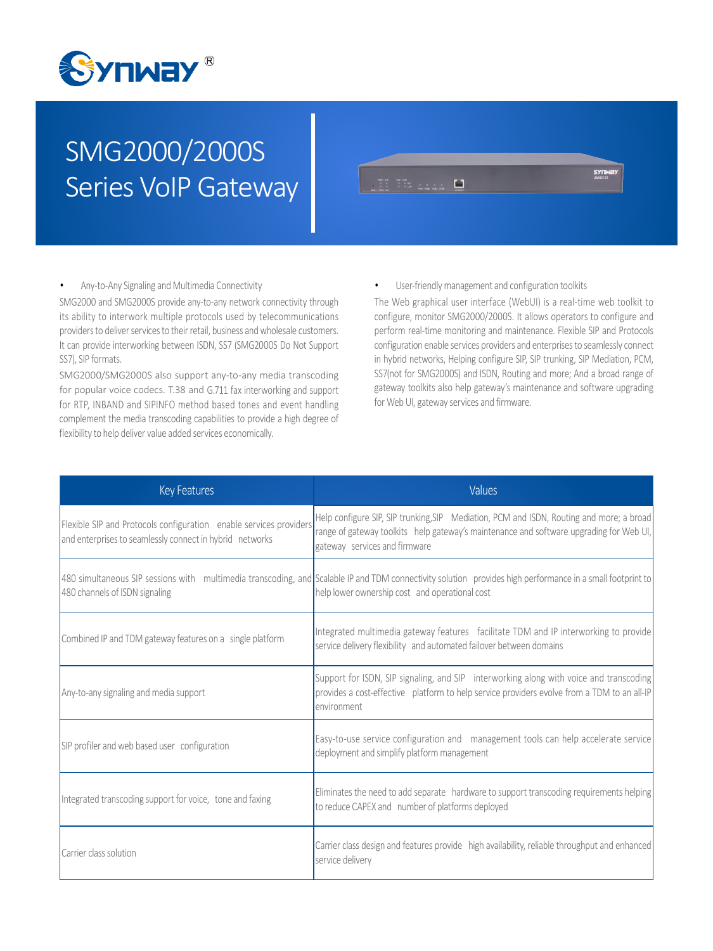

# SMG2000/2000S Series VoIP Gateway

|          |                                                                               | SYIMAY |
|----------|-------------------------------------------------------------------------------|--------|
| PART ALM | <b>LANS LAND</b><br>编<br>$\sim$ 1.1 $\%$ 1.1 $\%$<br><b>Contract Contract</b> |        |

### Any-to-Any Signaling and Multimedia Connectivity

SMG2000 and SMG2000S provide any-to-any network connectivity through its ability to interwork multiple protocols used by telecommunications providers to deliver services to their retail, business and wholesale customers. It can provide interworking between ISDN, SS7 (SMG2000S Do Not Support SS7), SIP formats.

SMG2000/SMG2000S also support any-to-any media transcoding for popular voice codecs. T.38 and G.711 fax interworking and support for RTP, INBAND and SIPINFO method based tones and event handling complement the media transcoding capabilities to provide a high degree of flexibility to help deliver value added services economically.

User-friendly management and configuration toolkits

The Web graphical user interface (WebUI) is a real-time web toolkit to configure, monitor SMG2000/2000S. It allows operators to configure and perform real-time monitoring and maintenance. Flexible SIP and Protocols configuration enable services providers and enterprises to seamlessly connect in hybrid networks, Helping configure SIP, SIP trunking, SIP Mediation, PCM, SS7(not for SMG2000S) and ISDN, Routing and more; And a broad range of gateway toolkits also help gateway's maintenance and software upgrading for Web UI, gateway services and firmware.

| <b>Key Features</b>                                                                                                            | Values                                                                                                                                                                                                               |
|--------------------------------------------------------------------------------------------------------------------------------|----------------------------------------------------------------------------------------------------------------------------------------------------------------------------------------------------------------------|
| Flexible SIP and Protocols configuration enable services providers<br>and enterprises to seamlessly connect in hybrid networks | Help configure SIP, SIP trunking, SIP Mediation, PCM and ISDN, Routing and more; a broad<br>range of gateway toolkits help gateway's maintenance and software upgrading for Web UI,<br>gateway services and firmware |
| 480 channels of ISDN signaling                                                                                                 | 480 simultaneous SIP sessions with multimedia transcoding, and Scalable IP and TDM connectivity solution provides high performance in a small footprint to<br>help lower ownership cost and operational cost         |
| Combined IP and TDM gateway features on a single platform                                                                      | Integrated multimedia gateway features facilitate TDM and IP interworking to provide<br>service delivery flexibility and automated failover between domains                                                          |
| Any-to-any signaling and media support                                                                                         | Support for ISDN, SIP signaling, and SIP interworking along with voice and transcoding<br>provides a cost-effective platform to help service providers evolve from a TDM to an all-IP<br>environment                 |
| SIP profiler and web based user configuration                                                                                  | Easy-to-use service configuration and management tools can help accelerate service<br>deployment and simplify platform management                                                                                    |
| Integrated transcoding support for voice, tone and faxing                                                                      | Eliminates the need to add separate hardware to support transcoding requirements helping<br>to reduce CAPEX and number of platforms deployed                                                                         |
| Carrier class solution                                                                                                         | Carrier class design and features provide high availability, reliable throughput and enhanced<br>service delivery                                                                                                    |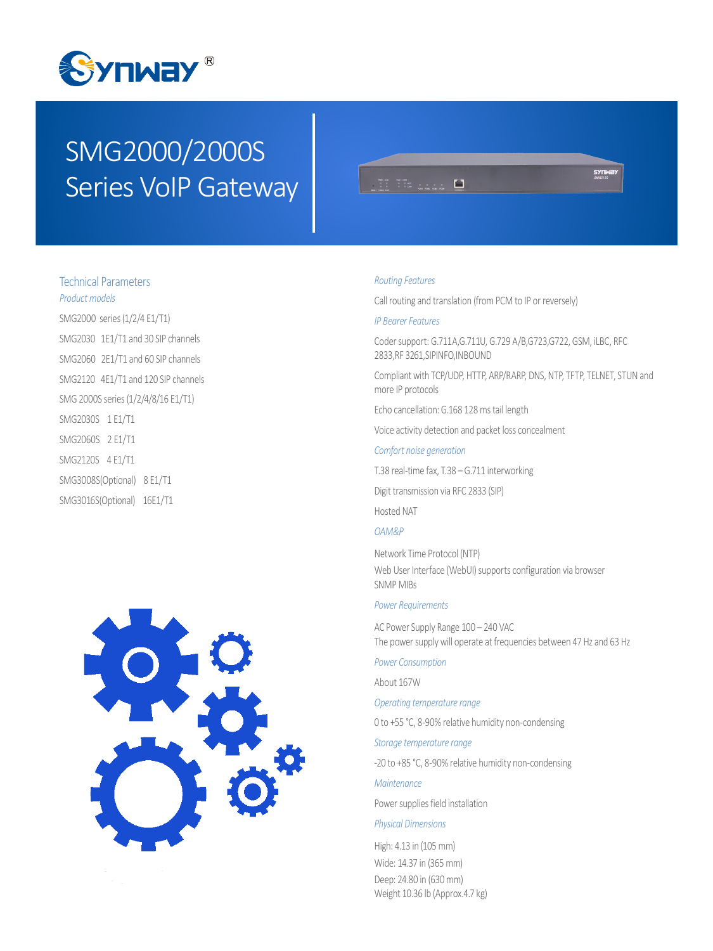

# SMG2000/2000S Series VoIP Gateway



# Technical Parameters *Product models*

SMG2000 series (1/2/4 E1/T1) SMG2030 1E1/T1 and 30 SIP channels SMG2060 2E1/T1 and 60 SIP channels SMG2120 4E1/T1 and 120 SIP channels SMG 2000S series (1/2/4/8/16 E1/T1) SMG2030S 1 E1/T1 SMG2060S 2 E1/T1 SMG2120S 4 E1/T1 SMG3008S(Optional) 8 E1/T1 SMG3016S(Optional) 16E1/T1



#### *Routing Features*

Call routing and translation (from PCM to IP or reversely)

### *IP Bearer Features*

Coder support: G.711A,G.711U, G.729 A/B,G723,G722, GSM, iLBC, RFC 2833,RF 3261,SIPINFO,INBOUND

Compliant with TCP/UDP, HTTP, ARP/RARP, DNS, NTP, TFTP, TELNET, STUN and more IP protocols

Echo cancellation: G.168 128 ms tail length

Voice activity detection and packet loss concealment

### *Comfort noise generation*

T.38 real-time fax, T.38 – G.711 interworking

Digit transmission via RFC 2833 (SIP)

Hosted NAT

## *OAM&P*

Network Time Protocol (NTP) Web User Interface (WebUI) supports configuration via browser SNMP MIBs

#### *Power Requirements*

AC Power Supply Range 100 – 240 VAC The power supply will operate at frequencies between 47 Hz and 63 Hz

*Power Consumption*

About 167W

*Operating temperature range*

0 to +55 °C, 8-90% relative humidity non-condensing

*Storage temperature range*

-20 to +85 °C, 8-90% relative humidity non-condensing

### *Maintenance*

Power supplies field installation

#### *Physical Dimensions*

High: 4.13 in (105 mm) Wide: 14.37 in (365 mm) Deep: 24.80 in (630 mm) Weight 10.36 lb (Approx.4.7 kg)